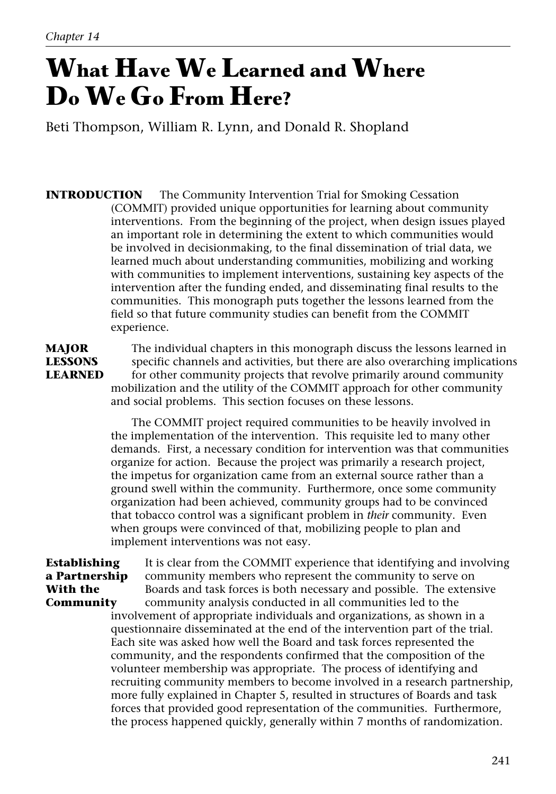# **What Have We Learned and Where Do We Go From Here?**

Beti Thompson, William R. Lynn, and Donald R. Shopland

**INTRODUCTION** The Community Intervention Trial for Smoking Cessation (COMMIT) provided unique opportunities for learning about community interventions. From the beginning of the project, when design issues played an important role in determining the extent to which communities would be involved in decisionmaking, to the final dissemination of trial data, we learned much about understanding communities, mobilizing and working with communities to implement interventions, sustaining key aspects of the intervention after the funding ended, and disseminating final results to the communities. This monograph puts together the lessons learned from the field so that future community studies can benefit from the COMMIT experience.

**MAJOR** The individual chapters in this monograph discuss the lessons learned in **LESSONS** specific channels and activities, but there are also overarching implications **LEARNED** for other community projects that revolve primarily around community mobilization and the utility of the COMMIT approach for other community and social problems. This section focuses on these lessons.

> The COMMIT project required communities to be heavily involved in the implementation of the intervention. This requisite led to many other demands. First, a necessary condition for intervention was that communities organize for action. Because the project was primarily a research project, the impetus for organization came from an external source rather than a ground swell within the community. Furthermore, once some community organization had been achieved, community groups had to be convinced that tobacco control was a significant problem in *their* community. Even when groups were convinced of that, mobilizing people to plan and implement interventions was not easy.

**Establishing** It is clear from the COMMIT experience that identifying and involving **a Partnership** community members who represent the community to serve on **With the** Boards and task forces is both necessary and possible. The extension Boards and task forces is both necessary and possible. The extensive **Community** community analysis conducted in all communities led to the involvement of appropriate individuals and organizations, as shown in a questionnaire disseminated at the end of the intervention part of the trial. Each site was asked how well the Board and task forces represented the community, and the respondents confirmed that the composition of the volunteer membership was appropriate. The process of identifying and recruiting community members to become involved in a research partnership, more fully explained in Chapter 5, resulted in structures of Boards and task forces that provided good representation of the communities. Furthermore, the process happened quickly, generally within 7 months of randomization.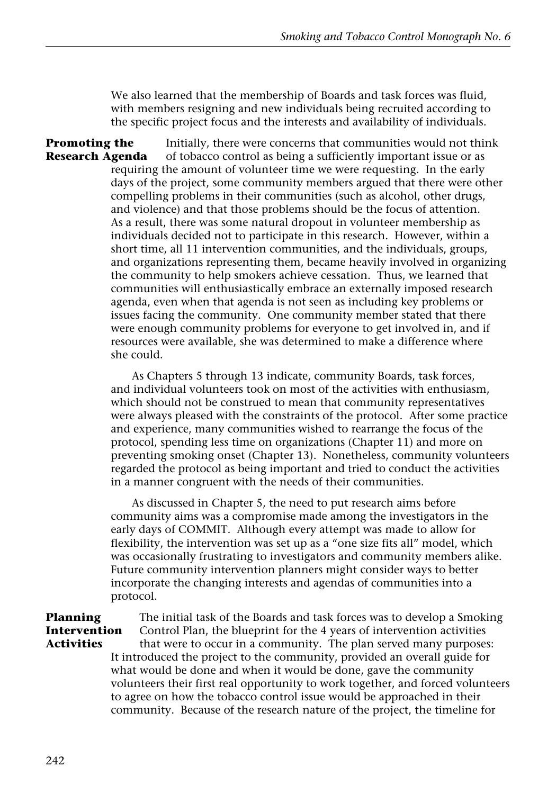We also learned that the membership of Boards and task forces was fluid, with members resigning and new individuals being recruited according to the specific project focus and the interests and availability of individuals.

**Promoting the** Initially, there were concerns that communities would not think **Research Agenda** of tobacco control as being a sufficiently important issue or as requiring the amount of volunteer time we were requesting. In the early days of the project, some community members argued that there were other compelling problems in their communities (such as alcohol, other drugs, and violence) and that those problems should be the focus of attention. As a result, there was some natural dropout in volunteer membership as individuals decided not to participate in this research. However, within a short time, all 11 intervention communities, and the individuals, groups, and organizations representing them, became heavily involved in organizing the community to help smokers achieve cessation. Thus, we learned that communities will enthusiastically embrace an externally imposed research agenda, even when that agenda is not seen as including key problems or issues facing the community. One community member stated that there were enough community problems for everyone to get involved in, and if resources were available, she was determined to make a difference where she could.

> As Chapters 5 through 13 indicate, community Boards, task forces, and individual volunteers took on most of the activities with enthusiasm, which should not be construed to mean that community representatives were always pleased with the constraints of the protocol. After some practice and experience, many communities wished to rearrange the focus of the protocol, spending less time on organizations (Chapter 11) and more on preventing smoking onset (Chapter 13). Nonetheless, community volunteers regarded the protocol as being important and tried to conduct the activities in a manner congruent with the needs of their communities.

As discussed in Chapter 5, the need to put research aims before community aims was a compromise made among the investigators in the early days of COMMIT. Although every attempt was made to allow for flexibility, the intervention was set up as a "one size fits all" model, which was occasionally frustrating to investigators and community members alike. Future community intervention planners might consider ways to better incorporate the changing interests and agendas of communities into a protocol.

**Planning** The initial task of the Boards and task forces was to develop a Smoking **Intervention** Control Plan, the blueprint for the 4 years of intervention activities **Activities** that were to occur in a community. The plan served many purposes: It introduced the project to the community, provided an overall guide for what would be done and when it would be done, gave the community volunteers their first real opportunity to work together, and forced volunteers to agree on how the tobacco control issue would be approached in their community. Because of the research nature of the project, the timeline for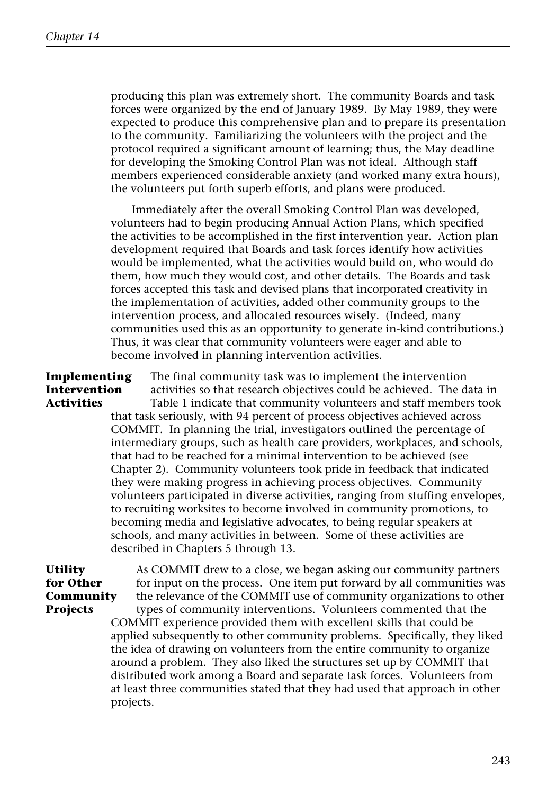producing this plan was extremely short. The community Boards and task forces were organized by the end of January 1989. By May 1989, they were expected to produce this comprehensive plan and to prepare its presentation to the community. Familiarizing the volunteers with the project and the protocol required a significant amount of learning; thus, the May deadline for developing the Smoking Control Plan was not ideal. Although staff members experienced considerable anxiety (and worked many extra hours), the volunteers put forth superb efforts, and plans were produced.

Immediately after the overall Smoking Control Plan was developed, volunteers had to begin producing Annual Action Plans, which specified the activities to be accomplished in the first intervention year. Action plan development required that Boards and task forces identify how activities would be implemented, what the activities would build on, who would do them, how much they would cost, and other details. The Boards and task forces accepted this task and devised plans that incorporated creativity in the implementation of activities, added other community groups to the intervention process, and allocated resources wisely. (Indeed, many communities used this as an opportunity to generate in-kind contributions.) Thus, it was clear that community volunteers were eager and able to become involved in planning intervention activities.

**Implementing** The final community task was to implement the intervention **Intervention** activities so that research objectives could be achieved. The data in **Activities** Table 1 indicate that community volunteers and staff members took that task seriously, with 94 percent of process objectives achieved across COMMIT. In planning the trial, investigators outlined the percentage of intermediary groups, such as health care providers, workplaces, and schools, that had to be reached for a minimal intervention to be achieved (see Chapter 2). Community volunteers took pride in feedback that indicated they were making progress in achieving process objectives. Community volunteers participated in diverse activities, ranging from stuffing envelopes, to recruiting worksites to become involved in community promotions, to becoming media and legislative advocates, to being regular speakers at schools, and many activities in between. Some of these activities are described in Chapters 5 through 13.

**Utility** As COMMIT drew to a close, we began asking our community partners **for Other** for input on the process. One item put forward by all communities was **Community** the relevance of the COMMIT use of community organizations to other **Projects** types of community interventions. Volunteers commented that the COMMIT experience provided them with excellent skills that could be applied subsequently to other community problems. Specifically, they liked the idea of drawing on volunteers from the entire community to organize around a problem. They also liked the structures set up by COMMIT that distributed work among a Board and separate task forces. Volunteers from at least three communities stated that they had used that approach in other projects.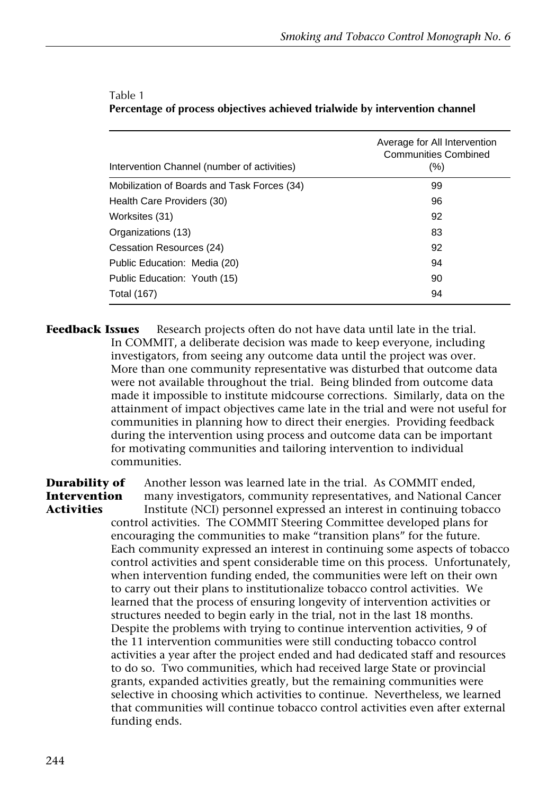| Intervention Channel (number of activities) | Average for All Intervention<br><b>Communities Combined</b><br>$(\% )$ |
|---------------------------------------------|------------------------------------------------------------------------|
| Mobilization of Boards and Task Forces (34) | 99                                                                     |
| Health Care Providers (30)                  | 96                                                                     |
| Worksites (31)                              | 92                                                                     |
| Organizations (13)                          | 83                                                                     |
| Cessation Resources (24)                    | 92                                                                     |
| Public Education: Media (20)                | 94                                                                     |
| Public Education: Youth (15)                | 90                                                                     |
| <b>Total (167)</b>                          | 94                                                                     |

## Table 1 **Percentage of process objectives achieved trialwide by intervention channel**

**Feedback Issues** Research projects often do not have data until late in the trial. In COMMIT, a deliberate decision was made to keep everyone, including investigators, from seeing any outcome data until the project was over. More than one community representative was disturbed that outcome data were not available throughout the trial. Being blinded from outcome data made it impossible to institute midcourse corrections. Similarly, data on the attainment of impact objectives came late in the trial and were not useful for communities in planning how to direct their energies. Providing feedback during the intervention using process and outcome data can be important for motivating communities and tailoring intervention to individual communities.

**Durability of** Another lesson was learned late in the trial. As COMMIT ended, **Intervention** many investigators, community representatives, and National Cancer **Activities** Institute (NCI) personnel expressed an interest in continuing tobacco control activities. The COMMIT Steering Committee developed plans for encouraging the communities to make "transition plans" for the future. Each community expressed an interest in continuing some aspects of tobacco control activities and spent considerable time on this process. Unfortunately, when intervention funding ended, the communities were left on their own to carry out their plans to institutionalize tobacco control activities. We learned that the process of ensuring longevity of intervention activities or structures needed to begin early in the trial, not in the last 18 months. Despite the problems with trying to continue intervention activities, 9 of the 11 intervention communities were still conducting tobacco control activities a year after the project ended and had dedicated staff and resources to do so. Two communities, which had received large State or provincial grants, expanded activities greatly, but the remaining communities were selective in choosing which activities to continue. Nevertheless, we learned that communities will continue tobacco control activities even after external funding ends.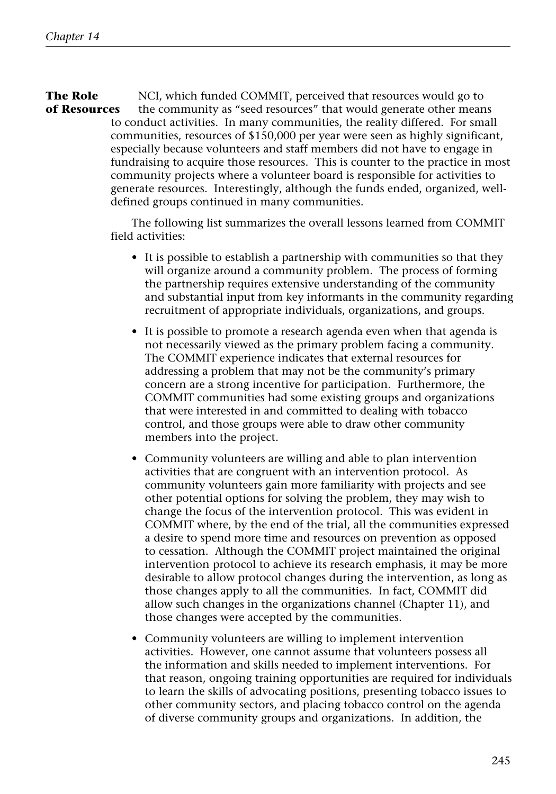**The Role** NCI, which funded COMMIT, perceived that resources would go to **of Resources** the community as "seed resources" that would generate other means to conduct activities. In many communities, the reality differed. For small communities, resources of \$150,000 per year were seen as highly significant, especially because volunteers and staff members did not have to engage in fundraising to acquire those resources. This is counter to the practice in most community projects where a volunteer board is responsible for activities to generate resources. Interestingly, although the funds ended, organized, welldefined groups continued in many communities.

> The following list summarizes the overall lessons learned from COMMIT field activities:

- It is possible to establish a partnership with communities so that they will organize around a community problem. The process of forming the partnership requires extensive understanding of the community and substantial input from key informants in the community regarding recruitment of appropriate individuals, organizations, and groups.
- It is possible to promote a research agenda even when that agenda is not necessarily viewed as the primary problem facing a community. The COMMIT experience indicates that external resources for addressing a problem that may not be the community's primary concern are a strong incentive for participation. Furthermore, the COMMIT communities had some existing groups and organizations that were interested in and committed to dealing with tobacco control, and those groups were able to draw other community members into the project.
- Community volunteers are willing and able to plan intervention activities that are congruent with an intervention protocol. As community volunteers gain more familiarity with projects and see other potential options for solving the problem, they may wish to change the focus of the intervention protocol. This was evident in COMMIT where, by the end of the trial, all the communities expressed a desire to spend more time and resources on prevention as opposed to cessation. Although the COMMIT project maintained the original intervention protocol to achieve its research emphasis, it may be more desirable to allow protocol changes during the intervention, as long as those changes apply to all the communities. In fact, COMMIT did allow such changes in the organizations channel (Chapter 11), and those changes were accepted by the communities.
- Community volunteers are willing to implement intervention activities. However, one cannot assume that volunteers possess all the information and skills needed to implement interventions. For that reason, ongoing training opportunities are required for individuals to learn the skills of advocating positions, presenting tobacco issues to other community sectors, and placing tobacco control on the agenda of diverse community groups and organizations. In addition, the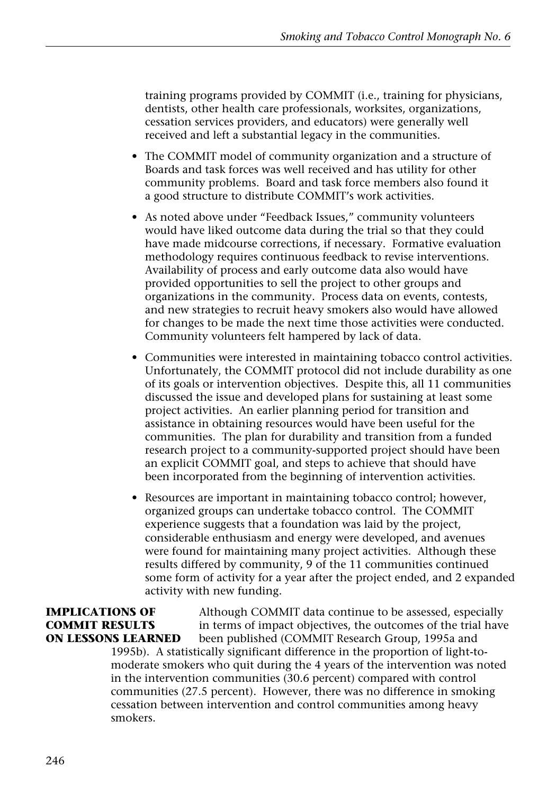training programs provided by COMMIT (i.e., training for physicians, dentists, other health care professionals, worksites, organizations, cessation services providers, and educators) were generally well received and left a substantial legacy in the communities.

- The COMMIT model of community organization and a structure of Boards and task forces was well received and has utility for other community problems. Board and task force members also found it a good structure to distribute COMMIT's work activities.
- As noted above under "Feedback Issues," community volunteers would have liked outcome data during the trial so that they could have made midcourse corrections, if necessary. Formative evaluation methodology requires continuous feedback to revise interventions. Availability of process and early outcome data also would have provided opportunities to sell the project to other groups and organizations in the community. Process data on events, contests, and new strategies to recruit heavy smokers also would have allowed for changes to be made the next time those activities were conducted. Community volunteers felt hampered by lack of data.
- Communities were interested in maintaining tobacco control activities. Unfortunately, the COMMIT protocol did not include durability as one of its goals or intervention objectives. Despite this, all 11 communities discussed the issue and developed plans for sustaining at least some project activities. An earlier planning period for transition and assistance in obtaining resources would have been useful for the communities. The plan for durability and transition from a funded research project to a community-supported project should have been an explicit COMMIT goal, and steps to achieve that should have been incorporated from the beginning of intervention activities.
- Resources are important in maintaining tobacco control; however, organized groups can undertake tobacco control. The COMMIT experience suggests that a foundation was laid by the project, considerable enthusiasm and energy were developed, and avenues were found for maintaining many project activities. Although these results differed by community, 9 of the 11 communities continued some form of activity for a year after the project ended, and 2 expanded activity with new funding.

**IMPLICATIONS OF** Although COMMIT data continue to be assessed, especially **COMMIT RESULTS** in terms of impact objectives, the outcomes of the trial have **ON LESSONS LEARNED** been published (COMMIT Research Group, 1995a and

1995b). A statistically significant difference in the proportion of light-tomoderate smokers who quit during the 4 years of the intervention was noted in the intervention communities (30.6 percent) compared with control communities (27.5 percent). However, there was no difference in smoking cessation between intervention and control communities among heavy smokers.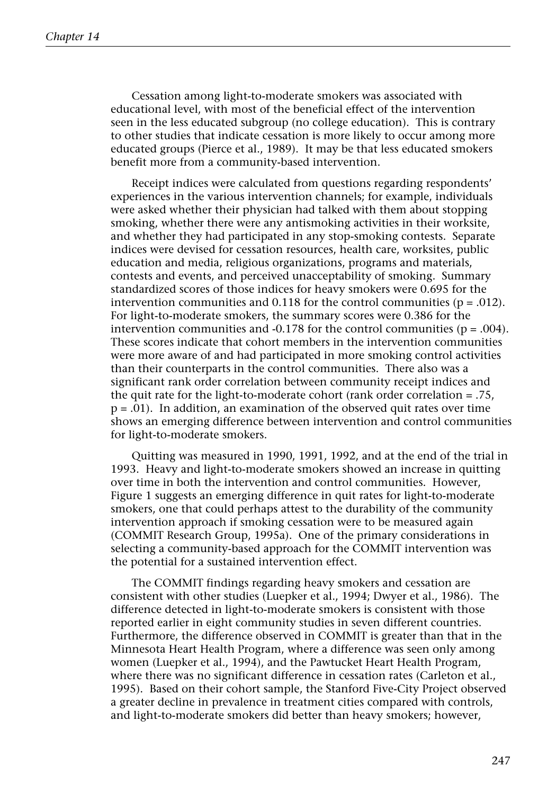Cessation among light-to-moderate smokers was associated with educational level, with most of the beneficial effect of the intervention seen in the less educated subgroup (no college education). This is contrary to other studies that indicate cessation is more likely to occur among more educated groups (Pierce et al., 1989). It may be that less educated smokers benefit more from a community-based intervention.

Receipt indices were calculated from questions regarding respondents' experiences in the various intervention channels; for example, individuals were asked whether their physician had talked with them about stopping smoking, whether there were any antismoking activities in their worksite, and whether they had participated in any stop-smoking contests. Separate indices were devised for cessation resources, health care, worksites, public education and media, religious organizations, programs and materials, contests and events, and perceived unacceptability of smoking. Summary standardized scores of those indices for heavy smokers were 0.695 for the intervention communities and  $0.118$  for the control communities ( $p = .012$ ). For light-to-moderate smokers, the summary scores were 0.386 for the intervention communities and -0.178 for the control communities ( $p = .004$ ). These scores indicate that cohort members in the intervention communities were more aware of and had participated in more smoking control activities than their counterparts in the control communities. There also was a significant rank order correlation between community receipt indices and the quit rate for the light-to-moderate cohort (rank order correlation = .75,  $p = .01$ ). In addition, an examination of the observed quit rates over time shows an emerging difference between intervention and control communities for light-to-moderate smokers.

Quitting was measured in 1990, 1991, 1992, and at the end of the trial in 1993. Heavy and light-to-moderate smokers showed an increase in quitting over time in both the intervention and control communities. However, Figure 1 suggests an emerging difference in quit rates for light-to-moderate smokers, one that could perhaps attest to the durability of the community intervention approach if smoking cessation were to be measured again (COMMIT Research Group, 1995a). One of the primary considerations in selecting a community-based approach for the COMMIT intervention was the potential for a sustained intervention effect.

The COMMIT findings regarding heavy smokers and cessation are consistent with other studies (Luepker et al., 1994; Dwyer et al., 1986). The difference detected in light-to-moderate smokers is consistent with those reported earlier in eight community studies in seven different countries. Furthermore, the difference observed in COMMIT is greater than that in the Minnesota Heart Health Program, where a difference was seen only among women (Luepker et al., 1994), and the Pawtucket Heart Health Program, where there was no significant difference in cessation rates (Carleton et al., 1995). Based on their cohort sample, the Stanford Five-City Project observed a greater decline in prevalence in treatment cities compared with controls, and light-to-moderate smokers did better than heavy smokers; however,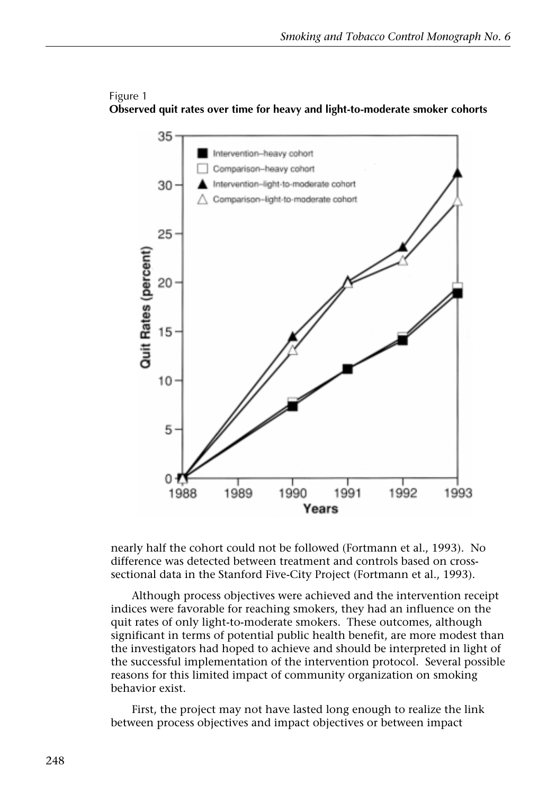

Figure 1 **Observed quit rates over time for heavy and light-to-moderate smoker cohorts**

nearly half the cohort could not be followed (Fortmann et al., 1993). No difference was detected between treatment and controls based on crosssectional data in the Stanford Five-City Project (Fortmann et al., 1993).

Although process objectives were achieved and the intervention receipt indices were favorable for reaching smokers, they had an influence on the quit rates of only light-to-moderate smokers. These outcomes, although significant in terms of potential public health benefit, are more modest than the investigators had hoped to achieve and should be interpreted in light of the successful implementation of the intervention protocol. Several possible reasons for this limited impact of community organization on smoking behavior exist.

First, the project may not have lasted long enough to realize the link between process objectives and impact objectives or between impact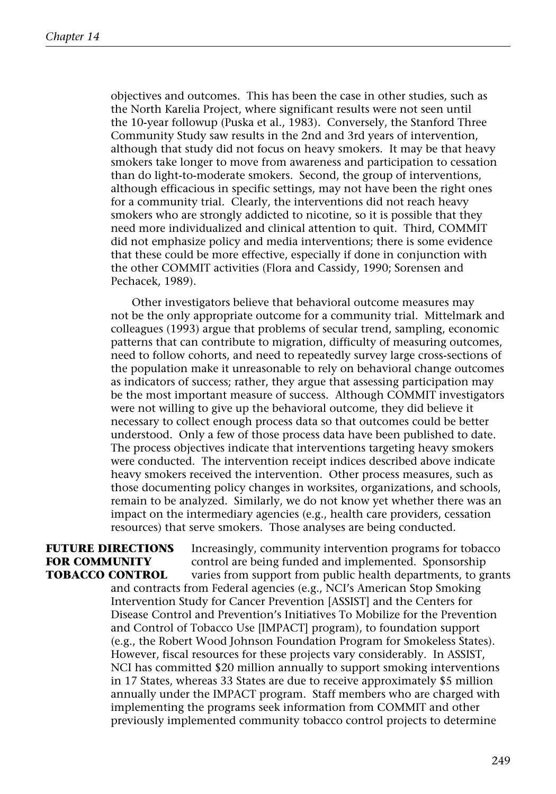objectives and outcomes. This has been the case in other studies, such as the North Karelia Project, where significant results were not seen until the 10-year followup (Puska et al., 1983). Conversely, the Stanford Three Community Study saw results in the 2nd and 3rd years of intervention, although that study did not focus on heavy smokers. It may be that heavy smokers take longer to move from awareness and participation to cessation than do light-to-moderate smokers. Second, the group of interventions, although efficacious in specific settings, may not have been the right ones for a community trial. Clearly, the interventions did not reach heavy smokers who are strongly addicted to nicotine, so it is possible that they need more individualized and clinical attention to quit. Third, COMMIT did not emphasize policy and media interventions; there is some evidence that these could be more effective, especially if done in conjunction with the other COMMIT activities (Flora and Cassidy, 1990; Sorensen and Pechacek, 1989).

Other investigators believe that behavioral outcome measures may not be the only appropriate outcome for a community trial. Mittelmark and colleagues (1993) argue that problems of secular trend, sampling, economic patterns that can contribute to migration, difficulty of measuring outcomes, need to follow cohorts, and need to repeatedly survey large cross-sections of the population make it unreasonable to rely on behavioral change outcomes as indicators of success; rather, they argue that assessing participation may be the most important measure of success. Although COMMIT investigators were not willing to give up the behavioral outcome, they did believe it necessary to collect enough process data so that outcomes could be better understood. Only a few of those process data have been published to date. The process objectives indicate that interventions targeting heavy smokers were conducted. The intervention receipt indices described above indicate heavy smokers received the intervention. Other process measures, such as those documenting policy changes in worksites, organizations, and schools, remain to be analyzed. Similarly, we do not know yet whether there was an impact on the intermediary agencies (e.g., health care providers, cessation resources) that serve smokers. Those analyses are being conducted.

**FUTURE DIRECTIONS** Increasingly, community intervention programs for tobacco **FOR COMMUNITY** control are being funded and implemented. Sponsorship **TOBACCO CONTROL** varies from support from public health departments, to grants and contracts from Federal agencies (e.g., NCI's American Stop Smoking Intervention Study for Cancer Prevention [ASSIST] and the Centers for Disease Control and Prevention's Initiatives To Mobilize for the Prevention and Control of Tobacco Use [IMPACT] program), to foundation support (e.g., the Robert Wood Johnson Foundation Program for Smokeless States). However, fiscal resources for these projects vary considerably. In ASSIST, NCI has committed \$20 million annually to support smoking interventions in 17 States, whereas 33 States are due to receive approximately \$5 million annually under the IMPACT program. Staff members who are charged with implementing the programs seek information from COMMIT and other previously implemented community tobacco control projects to determine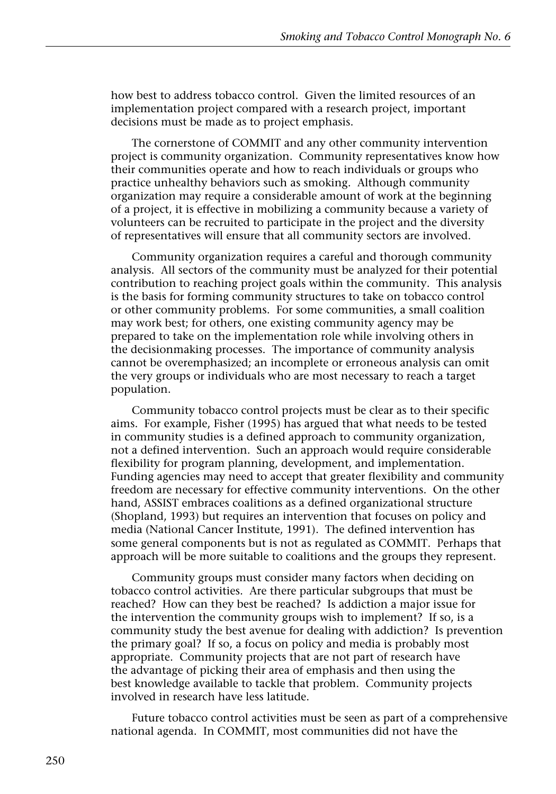how best to address tobacco control. Given the limited resources of an implementation project compared with a research project, important decisions must be made as to project emphasis.

The cornerstone of COMMIT and any other community intervention project is community organization. Community representatives know how their communities operate and how to reach individuals or groups who practice unhealthy behaviors such as smoking. Although community organization may require a considerable amount of work at the beginning of a project, it is effective in mobilizing a community because a variety of volunteers can be recruited to participate in the project and the diversity of representatives will ensure that all community sectors are involved.

Community organization requires a careful and thorough community analysis. All sectors of the community must be analyzed for their potential contribution to reaching project goals within the community. This analysis is the basis for forming community structures to take on tobacco control or other community problems. For some communities, a small coalition may work best; for others, one existing community agency may be prepared to take on the implementation role while involving others in the decisionmaking processes. The importance of community analysis cannot be overemphasized; an incomplete or erroneous analysis can omit the very groups or individuals who are most necessary to reach a target population.

Community tobacco control projects must be clear as to their specific aims. For example, Fisher (1995) has argued that what needs to be tested in community studies is a defined approach to community organization, not a defined intervention. Such an approach would require considerable flexibility for program planning, development, and implementation. Funding agencies may need to accept that greater flexibility and community freedom are necessary for effective community interventions. On the other hand, ASSIST embraces coalitions as a defined organizational structure (Shopland, 1993) but requires an intervention that focuses on policy and media (National Cancer Institute, 1991). The defined intervention has some general components but is not as regulated as COMMIT. Perhaps that approach will be more suitable to coalitions and the groups they represent.

Community groups must consider many factors when deciding on tobacco control activities. Are there particular subgroups that must be reached? How can they best be reached? Is addiction a major issue for the intervention the community groups wish to implement? If so, is a community study the best avenue for dealing with addiction? Is prevention the primary goal? If so, a focus on policy and media is probably most appropriate. Community projects that are not part of research have the advantage of picking their area of emphasis and then using the best knowledge available to tackle that problem. Community projects involved in research have less latitude.

Future tobacco control activities must be seen as part of a comprehensive national agenda. In COMMIT, most communities did not have the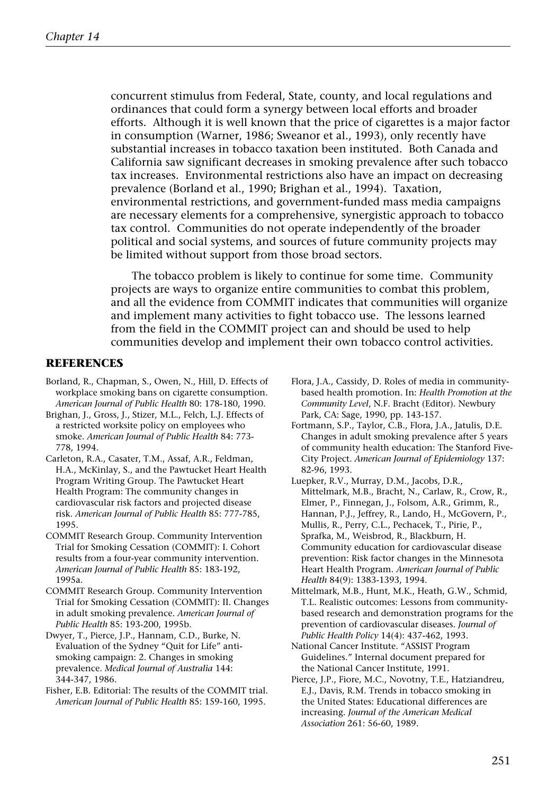concurrent stimulus from Federal, State, county, and local regulations and ordinances that could form a synergy between local efforts and broader efforts. Although it is well known that the price of cigarettes is a major factor in consumption (Warner, 1986; Sweanor et al., 1993), only recently have substantial increases in tobacco taxation been instituted. Both Canada and California saw significant decreases in smoking prevalence after such tobacco tax increases. Environmental restrictions also have an impact on decreasing prevalence (Borland et al., 1990; Brighan et al., 1994). Taxation, environmental restrictions, and government-funded mass media campaigns are necessary elements for a comprehensive, synergistic approach to tobacco tax control. Communities do not operate independently of the broader political and social systems, and sources of future community projects may be limited without support from those broad sectors.

The tobacco problem is likely to continue for some time. Community projects are ways to organize entire communities to combat this problem, and all the evidence from COMMIT indicates that communities will organize and implement many activities to fight tobacco use. The lessons learned from the field in the COMMIT project can and should be used to help communities develop and implement their own tobacco control activities.

#### **REFERENCES**

- Borland, R., Chapman, S., Owen, N., Hill, D. Effects of workplace smoking bans on cigarette consumption. *American Journal of Public Health* 80: 178-180, 1990.
- Brighan, J., Gross, J., Stizer, M.L., Felch, L.J. Effects of a restricted worksite policy on employees who smoke. *American Journal of Public Health* 84: 773- 778, 1994.
- Carleton, R.A., Casater, T.M., Assaf, A.R., Feldman, H.A., McKinlay, S., and the Pawtucket Heart Health Program Writing Group. The Pawtucket Heart Health Program: The community changes in cardiovascular risk factors and projected disease risk. *American Journal of Public Health* 85: 777-785, 1995.
- COMMIT Research Group. Community Intervention Trial for Smoking Cessation (COMMIT): I. Cohort results from a four-year community intervention. *American Journal of Public Health* 85: 183-192, 1995a.
- COMMIT Research Group. Community Intervention Trial for Smoking Cessation (COMMIT): II. Changes in adult smoking prevalence. *American Journal of Public Health* 85: 193-200, 1995b.
- Dwyer, T., Pierce, J.P., Hannam, C.D., Burke, N. Evaluation of the Sydney "Quit for Life" antismoking campaign: 2. Changes in smoking prevalence. *Medical Journal of Australia* 144: 344-347, 1986.
- Fisher, E.B. Editorial: The results of the COMMIT trial. *American Journal of Public Health* 85: 159-160, 1995.
- Flora, J.A., Cassidy, D. Roles of media in communitybased health promotion. In: *Health Promotion at the Community Level*, N.F. Bracht (Editor). Newbury Park, CA: Sage, 1990, pp. 143-157.
- Fortmann, S.P., Taylor, C.B., Flora, J.A., Jatulis, D.E. Changes in adult smoking prevalence after 5 years of community health education: The Stanford Five-City Project. *American Journal of Epidemiology* 137: 82-96, 1993.
- Luepker, R.V., Murray, D.M., Jacobs, D.R., Mittelmark, M.B., Bracht, N., Carlaw, R., Crow, R., Elmer, P., Finnegan, J., Folsom, A.R., Grimm, R., Hannan, P.J., Jeffrey, R., Lando, H., McGovern, P., Mullis, R., Perry, C.L., Pechacek, T., Pirie, P., Sprafka, M., Weisbrod, R., Blackburn, H. Community education for cardiovascular disease prevention: Risk factor changes in the Minnesota Heart Health Program. *American Journal of Public Health* 84(9): 1383-1393, 1994.
- Mittelmark, M.B., Hunt, M.K., Heath, G.W., Schmid, T.L. Realistic outcomes: Lessons from communitybased research and demonstration programs for the prevention of cardiovascular diseases. *Journal of Public Health Policy* 14(4): 437-462, 1993.
- National Cancer Institute. "ASSIST Program Guidelines." Internal document prepared for the National Cancer Institute, 1991.
- Pierce, J.P., Fiore, M.C., Novotny, T.E., Hatziandreu, E.J., Davis, R.M. Trends in tobacco smoking in the United States: Educational differences are increasing. *Journal of the American Medical Association* 261: 56-60, 1989.